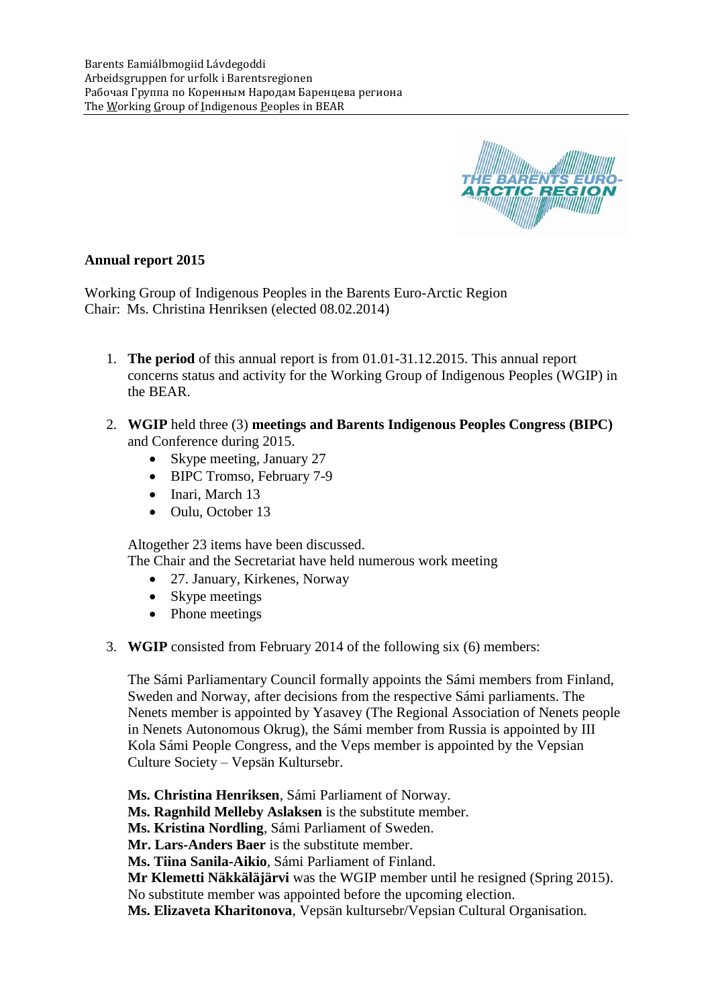

# **Annual report 2015**

Working Group of Indigenous Peoples in the Barents Euro-Arctic Region Chair: Ms. Christina Henriksen (elected 08.02.2014)

- 1. **The period** of this annual report is from 01.01-31.12.2015. This annual report concerns status and activity for the Working Group of Indigenous Peoples (WGIP) in the BEAR.
- 2. **WGIP** held three (3) **meetings and Barents Indigenous Peoples Congress (BIPC)** and Conference during 2015.
	- Skype meeting, January 27
	- BIPC Tromso, February 7-9
	- Inari, March 13
	- Oulu, October 13

Altogether 23 items have been discussed.

The Chair and the Secretariat have held numerous work meeting

- 27. January, Kirkenes, Norway
- Skype meetings
- Phone meetings
- 3. **WGIP** consisted from February 2014 of the following six (6) members:

The Sámi Parliamentary Council formally appoints the Sámi members from Finland, Sweden and Norway, after decisions from the respective Sámi parliaments. The Nenets member is appointed by Yasavey (The Regional Association of Nenets people in Nenets Autonomous Okrug), the Sámi member from Russia is appointed by III Kola Sámi People Congress, and the Veps member is appointed by the Vepsian Culture Society – Vepsän Kultursebr.

**Ms. Christina Henriksen**, Sámi Parliament of Norway.

**Ms. Ragnhild Melleby Aslaksen** is the substitute member.

**Ms. Kristina Nordling**, Sámi Parliament of Sweden.

**Mr. Lars-Anders Baer** is the substitute member.

**Ms. Tiina Sanila-Aikio**, Sámi Parliament of Finland.

**Mr Klemetti Näkkäläjärvi** was the WGIP member until he resigned (Spring 2015).

No substitute member was appointed before the upcoming election.

**Ms. Elizaveta Kharitonova**, Vepsän kultursebr/Vepsian Cultural Organisation.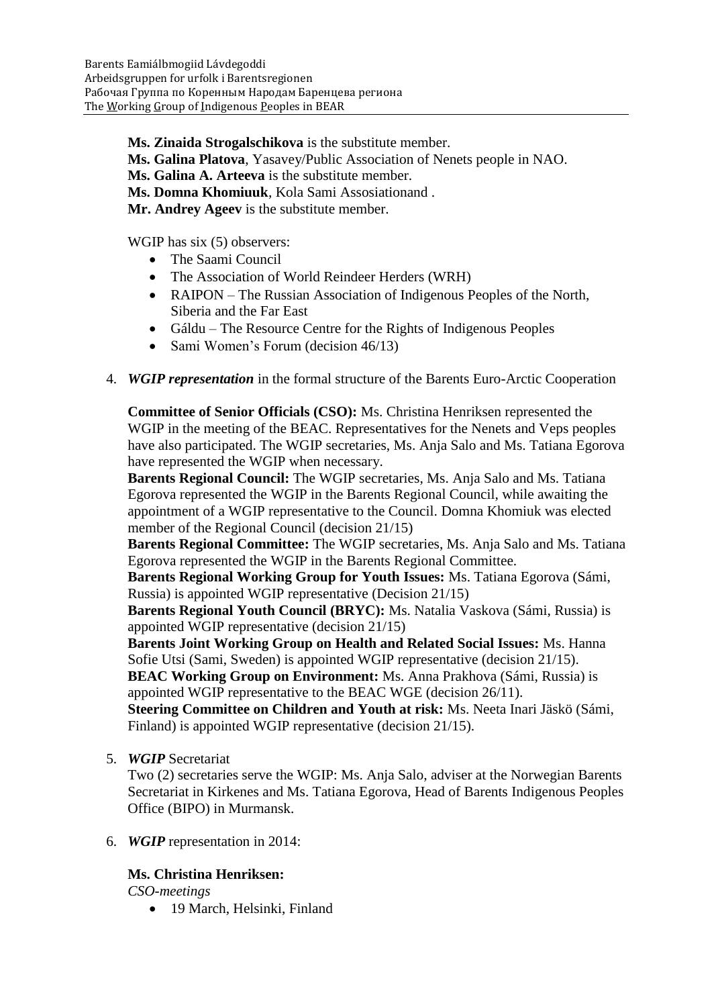**Ms. Zinaida Strogalschikova** is the substitute member.

**Ms. Galina Platova**, Yasavey/Public Association of Nenets people in NAO.

**Ms. Galina A. Arteeva** is the substitute member.

**Ms. Domna Khomiuuk**, Kola Sami Assosiationand .

**Mr. Andrey Ageev** is the substitute member.

WGIP has six (5) observers:

- The Saami Council
- The Association of World Reindeer Herders (WRH)
- RAIPON The Russian Association of Indigenous Peoples of the North, Siberia and the Far East
- Gáldu The Resource Centre for the Rights of Indigenous Peoples
- Sami Women's Forum (decision 46/13)
- 4. *WGIP representation* in the formal structure of the Barents Euro-Arctic Cooperation

**Committee of Senior Officials (CSO):** Ms. Christina Henriksen represented the WGIP in the meeting of the BEAC. Representatives for the Nenets and Veps peoples have also participated. The WGIP secretaries, Ms. Anja Salo and Ms. Tatiana Egorova have represented the WGIP when necessary.

**Barents Regional Council:** The WGIP secretaries, Ms. Anja Salo and Ms. Tatiana Egorova represented the WGIP in the Barents Regional Council, while awaiting the appointment of a WGIP representative to the Council. Domna Khomiuk was elected member of the Regional Council (decision 21/15)

**Barents Regional Committee:** The WGIP secretaries, Ms. Anja Salo and Ms. Tatiana Egorova represented the WGIP in the Barents Regional Committee.

**Barents Regional Working Group for Youth Issues:** Ms. Tatiana Egorova (Sámi, Russia) is appointed WGIP representative (Decision 21/15)

**Barents Regional Youth Council (BRYC):** Ms. Natalia Vaskova (Sámi, Russia) is appointed WGIP representative (decision 21/15)

**Barents Joint Working Group on Health and Related Social Issues:** Ms. Hanna Sofie Utsi (Sami, Sweden) is appointed WGIP representative (decision 21/15). **BEAC Working Group on Environment:** Ms. Anna Prakhova (Sámi, Russia) is

appointed WGIP representative to the BEAC WGE (decision 26/11).

**Steering Committee on Children and Youth at risk:** Ms. Neeta Inari Jäskö (Sámi, Finland) is appointed WGIP representative (decision 21/15).

5. *WGIP* Secretariat

Two (2) secretaries serve the WGIP: Ms. Anja Salo, adviser at the Norwegian Barents Secretariat in Kirkenes and Ms. Tatiana Egorova, Head of Barents Indigenous Peoples Office (BIPO) in Murmansk.

# 6. *WGIP* representation in 2014:

# **Ms. Christina Henriksen:**

*CSO-meetings*

• 19 March, Helsinki, Finland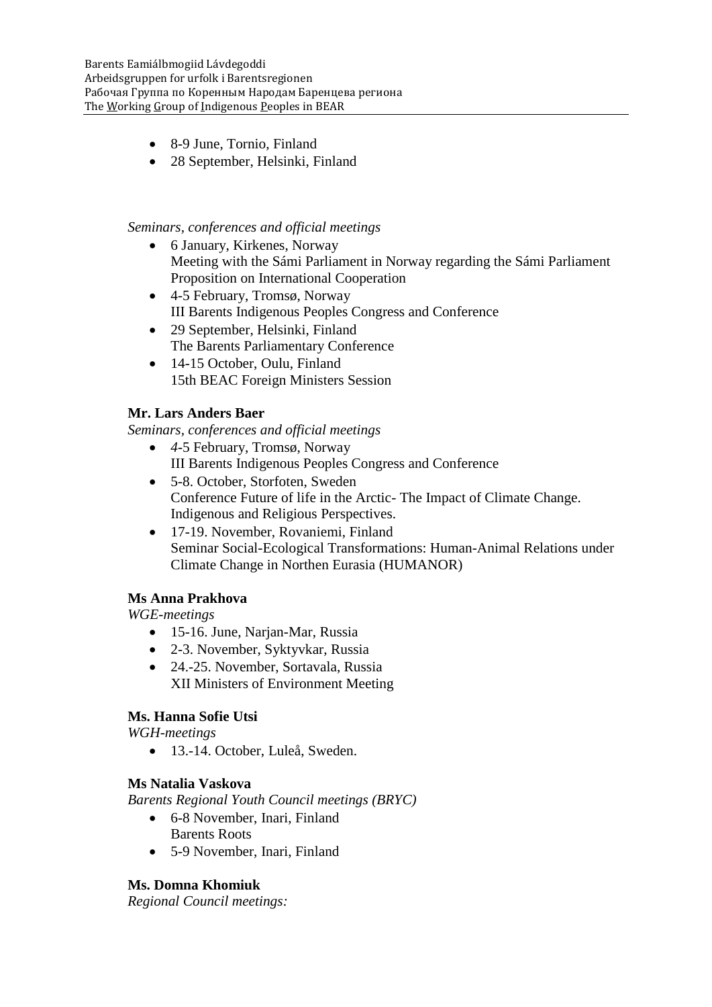- 8-9 June, Tornio, Finland
- 28 September, Helsinki, Finland

### *Seminars, conferences and official meetings*

- 6 January, Kirkenes, Norway Meeting with the Sámi Parliament in Norway regarding the Sámi Parliament Proposition on International Cooperation
- 4-5 February, Tromsø, Norway III Barents Indigenous Peoples Congress and Conference
- 29 September, Helsinki, Finland The Barents Parliamentary Conference
- 14-15 October, Oulu, Finland 15th BEAC Foreign Ministers Session

# **Mr. Lars Anders Baer**

*Seminars, conferences and official meetings*

- *4*-5 February, Tromsø, Norway III Barents Indigenous Peoples Congress and Conference
- 5-8. October, Storfoten, Sweden Conference Future of life in the Arctic- The Impact of Climate Change. Indigenous and Religious Perspectives.
- 17-19. November, Rovaniemi, Finland Seminar Social-Ecological Transformations: Human-Animal Relations under Climate Change in Northen Eurasia (HUMANOR)

# **Ms Anna Prakhova**

*WGE-meetings*

- 15-16. June, Narjan-Mar, Russia
- 2-3. November, Syktyvkar, Russia
- 24.-25. November, Sortavala, Russia XII Ministers of Environment Meeting

# **Ms. Hanna Sofie Utsi**

*WGH-meetings*

13.-14. October, Luleå, Sweden.

# **Ms Natalia Vaskova**

*Barents Regional Youth Council meetings (BRYC)*

- 6-8 November, Inari, Finland Barents Roots
- 5-9 November, Inari, Finland

# **Ms. Domna Khomiuk**

*Regional Council meetings:*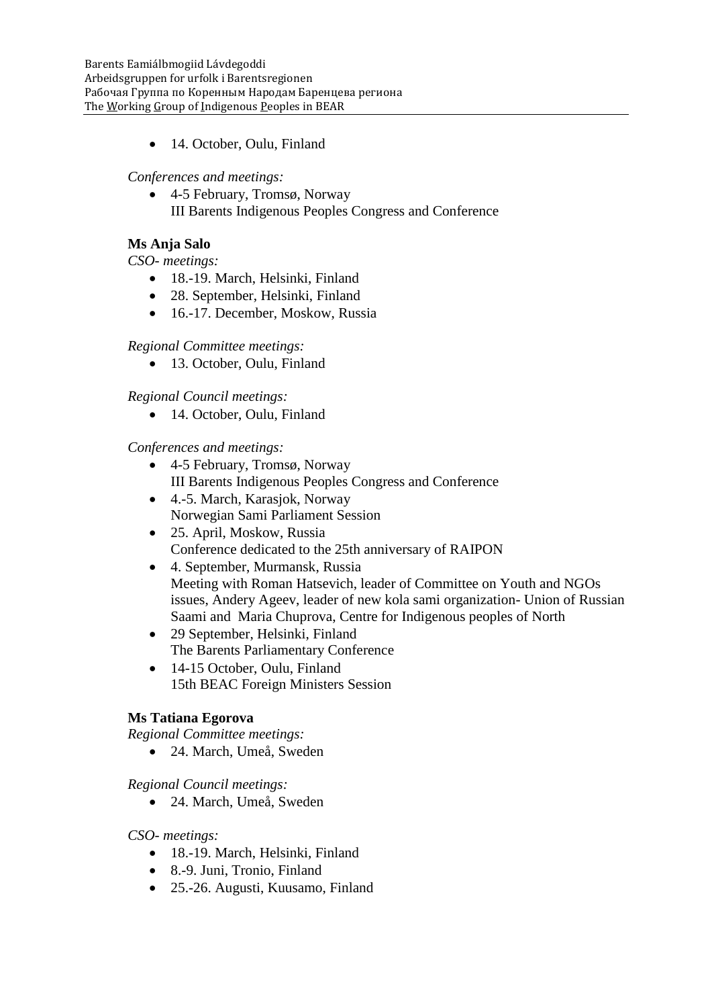• 14. October, Oulu, Finland

*Conferences and meetings:*

 4-5 February, Tromsø, Norway III Barents Indigenous Peoples Congress and Conference

# **Ms Anja Salo**

*CSO- meetings:*

- 18.-19. March, Helsinki, Finland
- 28. September, Helsinki, Finland
- 16.-17. December, Moskow, Russia

# *Regional Committee meetings:*

• 13. October, Oulu, Finland

*Regional Council meetings:*

• 14. October, Oulu, Finland

# *Conferences and meetings:*

- 4-5 February, Tromsø, Norway III Barents Indigenous Peoples Congress and Conference
- 4.-5. March, Karasjok, Norway Norwegian Sami Parliament Session
- 25. April, Moskow, Russia Conference dedicated to the 25th anniversary of RAIPON
- 4. September, Murmansk, Russia Meeting with Roman Hatsevich, leader of Committee on Youth and NGOs issues, Andery Ageev, leader of new kola sami organization- Union of Russian Saami and Maria Chuprova, Centre for Indigenous peoples of North
- 29 September, Helsinki, Finland The Barents Parliamentary Conference
- 14-15 October, Oulu, Finland 15th BEAC Foreign Ministers Session

# **Ms Tatiana Egorova**

*Regional Committee meetings:*

24. March, Umeå, Sweden

*Regional Council meetings:*

24. March, Umeå, Sweden

# *CSO- meetings:*

- 18.-19. March, Helsinki, Finland
- 8.-9. Juni, Tronio, Finland
- 25.-26. Augusti, Kuusamo, Finland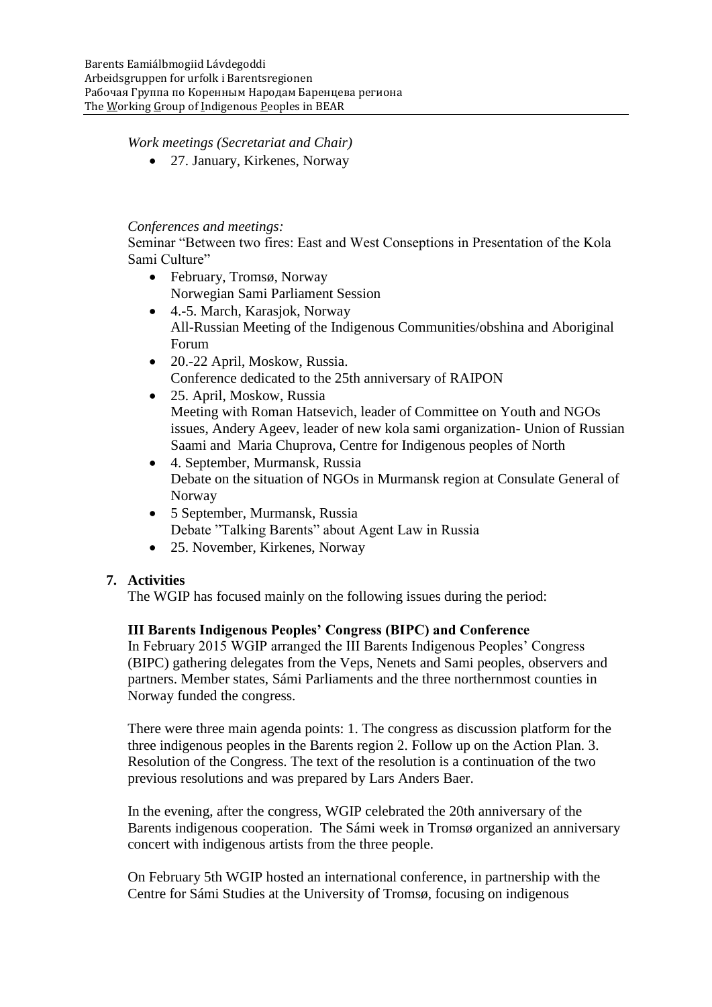## *Work meetings (Secretariat and Chair)*

27. January, Kirkenes, Norway

### *Conferences and meetings:*

Seminar "Between two fires: East and West Conseptions in Presentation of the Kola Sami Culture"

- February, Tromsø, Norway Norwegian Sami Parliament Session
- 4.-5. March, Karasjok, Norway All-Russian Meeting of the Indigenous Communities/obshina and Aboriginal Forum
- 20.-22 April, Moskow, Russia. Conference dedicated to the 25th anniversary of RAIPON
- 25. April, Moskow, Russia Meeting with Roman Hatsevich, leader of Committee on Youth and NGOs issues, Andery Ageev, leader of new kola sami organization- Union of Russian Saami and Maria Chuprova, Centre for Indigenous peoples of North
- 4. September, Murmansk, Russia Debate on the situation of NGOs in Murmansk region at Consulate General of Norway
- 5 September, Murmansk, Russia Debate "Talking Barents" about Agent Law in Russia
- 25. November, Kirkenes, Norway

# **7. Activities**

The WGIP has focused mainly on the following issues during the period:

# **III Barents Indigenous Peoples' Congress (BIPC) and Conference**

In February 2015 WGIP arranged the III Barents Indigenous Peoples' Congress (BIPC) gathering delegates from the Veps, Nenets and Sami peoples, observers and partners. Member states, Sámi Parliaments and the three northernmost counties in Norway funded the congress.

There were three main agenda points: 1. The congress as discussion platform for the three indigenous peoples in the Barents region 2. Follow up on the Action Plan. 3. Resolution of the Congress. The text of the resolution is a continuation of the two previous resolutions and was prepared by Lars Anders Baer.

In the evening, after the congress, WGIP celebrated the 20th anniversary of the Barents indigenous cooperation. The Sámi week in Tromsø organized an anniversary concert with indigenous artists from the three people.

On February 5th WGIP hosted an international conference, in partnership with the Centre for Sámi Studies at the University of Tromsø, focusing on indigenous